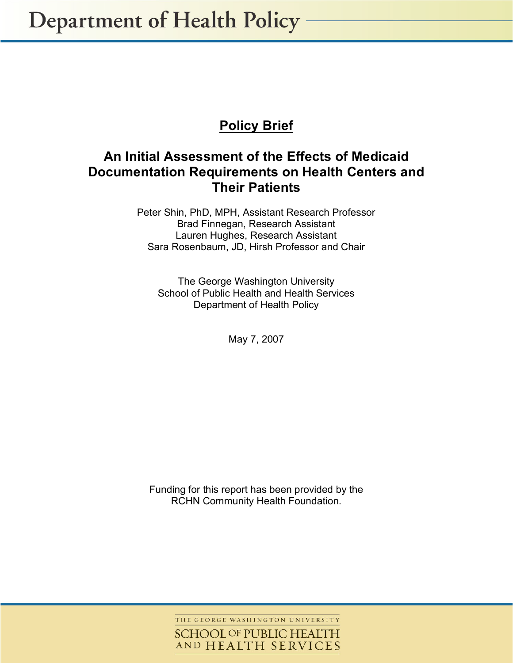**Department of Health Policy -**

# **Policy Brief**

# **An Initial Assessment of the Effects of Medicaid Documentation Requirements on Health Centers and Their Patients**

Peter Shin, PhD, MPH, Assistant Research Professor Brad Finnegan, Research Assistant Lauren Hughes, Research Assistant Sara Rosenbaum, JD, Hirsh Professor and Chair

The George Washington University School of Public Health and Health Services Department of Health Policy

May 7, 2007

Funding for this report has been provided by the RCHN Community Health Foundation.

> THE GEORGE WASHINGTON UNIVERSITY **SCHOOL OF PUBLIC HEALTH** AND HEALTH SERVICES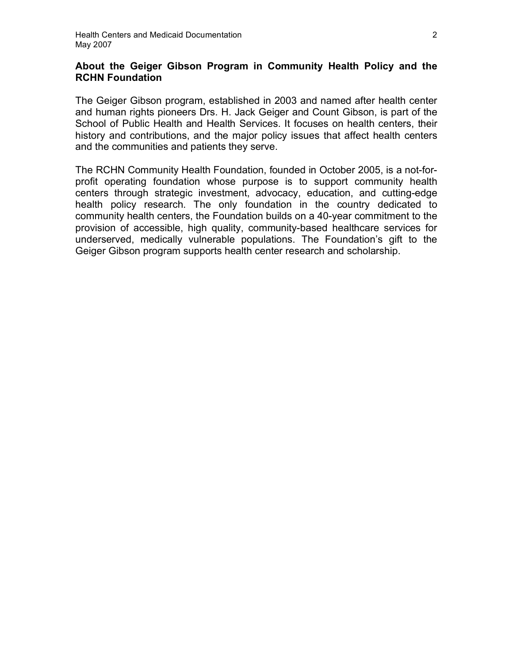# **About the Geiger Gibson Program in Community Health Policy and the RCHN Foundation**

The Geiger Gibson program, established in 2003 and named after health center and human rights pioneers Drs. H. Jack Geiger and Count Gibson, is part of the School of Public Health and Health Services. It focuses on health centers, their history and contributions, and the major policy issues that affect health centers and the communities and patients they serve.

The RCHN Community Health Foundation, founded in October 2005, is a not-forprofit operating foundation whose purpose is to support community health centers through strategic investment, advocacy, education, and cutting-edge health policy research. The only foundation in the country dedicated to community health centers, the Foundation builds on a 40-year commitment to the provision of accessible, high quality, community-based healthcare services for underserved, medically vulnerable populations. The Foundation's gift to the Geiger Gibson program supports health center research and scholarship.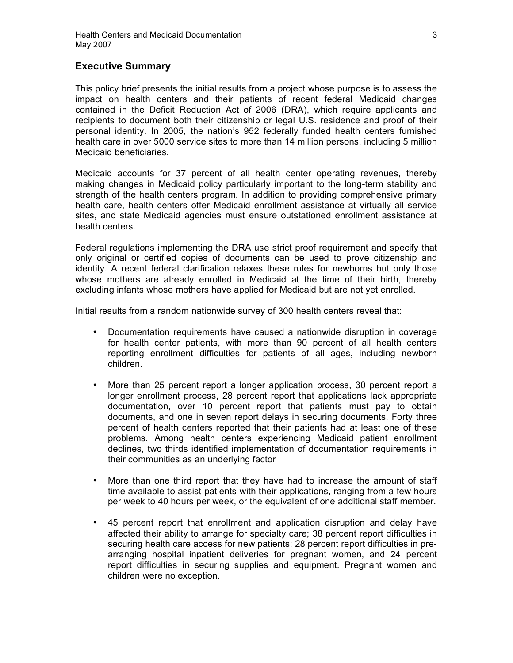### **Executive Summary**

This policy brief presents the initial results from a project whose purpose is to assess the impact on health centers and their patients of recent federal Medicaid changes contained in the Deficit Reduction Act of 2006 (DRA), which require applicants and recipients to document both their citizenship or legal U.S. residence and proof of their personal identity. In 2005, the nation's 952 federally funded health centers furnished health care in over 5000 service sites to more than 14 million persons, including 5 million Medicaid beneficiaries.

Medicaid accounts for 37 percent of all health center operating revenues, thereby making changes in Medicaid policy particularly important to the long-term stability and strength of the health centers program. In addition to providing comprehensive primary health care, health centers offer Medicaid enrollment assistance at virtually all service sites, and state Medicaid agencies must ensure outstationed enrollment assistance at health centers.

Federal regulations implementing the DRA use strict proof requirement and specify that only original or certified copies of documents can be used to prove citizenship and identity. A recent federal clarification relaxes these rules for newborns but only those whose mothers are already enrolled in Medicaid at the time of their birth, thereby excluding infants whose mothers have applied for Medicaid but are not yet enrolled.

Initial results from a random nationwide survey of 300 health centers reveal that:

- Documentation requirements have caused a nationwide disruption in coverage for health center patients, with more than 90 percent of all health centers reporting enrollment difficulties for patients of all ages, including newborn children.
- More than 25 percent report a longer application process, 30 percent report a longer enrollment process, 28 percent report that applications lack appropriate documentation, over 10 percent report that patients must pay to obtain documents, and one in seven report delays in securing documents. Forty three percent of health centers reported that their patients had at least one of these problems. Among health centers experiencing Medicaid patient enrollment declines, two thirds identified implementation of documentation requirements in their communities as an underlying factor
- More than one third report that they have had to increase the amount of staff time available to assist patients with their applications, ranging from a few hours per week to 40 hours per week, or the equivalent of one additional staff member.
- 45 percent report that enrollment and application disruption and delay have affected their ability to arrange for specialty care; 38 percent report difficulties in securing health care access for new patients; 28 percent report difficulties in prearranging hospital inpatient deliveries for pregnant women, and 24 percent report difficulties in securing supplies and equipment. Pregnant women and children were no exception.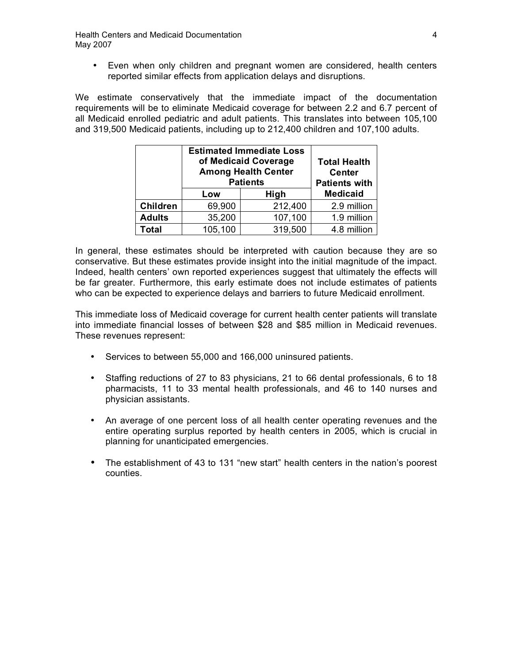• Even when only children and pregnant women are considered, health centers reported similar effects from application delays and disruptions.

We estimate conservatively that the immediate impact of the documentation requirements will be to eliminate Medicaid coverage for between 2.2 and 6.7 percent of all Medicaid enrolled pediatric and adult patients. This translates into between 105,100 and 319,500 Medicaid patients, including up to 212,400 children and 107,100 adults.

|                 | <b>Estimated Immediate Loss</b><br>of Medicaid Coverage<br><b>Among Health Center</b><br><b>Patients</b> |         | <b>Total Health</b><br><b>Center</b><br><b>Patients with</b> |
|-----------------|----------------------------------------------------------------------------------------------------------|---------|--------------------------------------------------------------|
|                 | Low                                                                                                      | High    | <b>Medicaid</b>                                              |
| <b>Children</b> | 69,900                                                                                                   | 212,400 | 2.9 million                                                  |
| <b>Adults</b>   | 35,200                                                                                                   | 107,100 | 1.9 million                                                  |
| Total           | 105,100                                                                                                  | 319,500 | 4.8 million                                                  |

In general, these estimates should be interpreted with caution because they are so conservative. But these estimates provide insight into the initial magnitude of the impact. Indeed, health centers' own reported experiences suggest that ultimately the effects will be far greater. Furthermore, this early estimate does not include estimates of patients who can be expected to experience delays and barriers to future Medicaid enrollment.

This immediate loss of Medicaid coverage for current health center patients will translate into immediate financial losses of between \$28 and \$85 million in Medicaid revenues. These revenues represent:

- Services to between 55,000 and 166,000 uninsured patients.
- Staffing reductions of 27 to 83 physicians, 21 to 66 dental professionals, 6 to 18 pharmacists, 11 to 33 mental health professionals, and 46 to 140 nurses and physician assistants.
- An average of one percent loss of all health center operating revenues and the entire operating surplus reported by health centers in 2005, which is crucial in planning for unanticipated emergencies.
- The establishment of 43 to 131 "new start" health centers in the nation's poorest counties.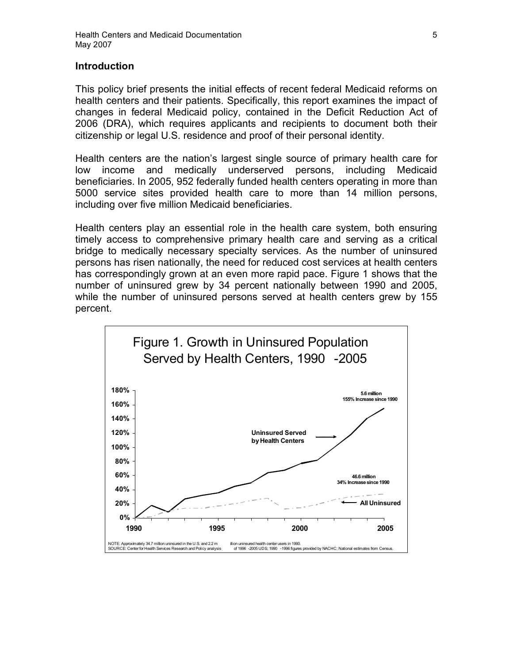### **Introduction**

This policy brief presents the initial effects of recent federal Medicaid reforms on health centers and their patients. Specifically, this report examines the impact of changes in federal Medicaid policy, contained in the Deficit Reduction Act of 2006 (DRA), which requires applicants and recipients to document both their citizenship or legal U.S. residence and proof of their personal identity.

Health centers are the nation's largest single source of primary health care for low income and medically underserved persons, including Medicaid beneficiaries. In 2005, 952 federally funded health centers operating in more than 5000 service sites provided health care to more than 14 million persons, including over five million Medicaid beneficiaries.

Health centers play an essential role in the health care system, both ensuring timely access to comprehensive primary health care and serving as a critical bridge to medically necessary specialty services. As the number of uninsured persons has risen nationally, the need for reduced cost services at health centers has correspondingly grown at an even more rapid pace. Figure 1 shows that the number of uninsured grew by 34 percent nationally between 1990 and 2005, while the number of uninsured persons served at health centers grew by 155 percent.

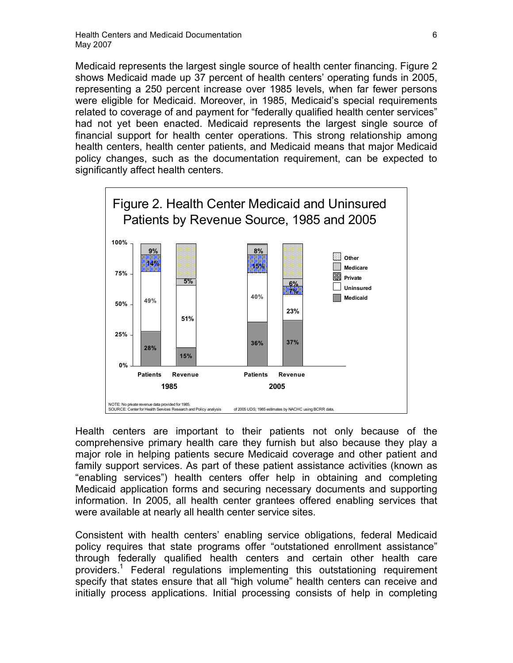Medicaid represents the largest single source of health center financing. Figure 2 shows Medicaid made up 37 percent of health centers' operating funds in 2005, representing a 250 percent increase over 1985 levels, when far fewer persons were eligible for Medicaid. Moreover, in 1985, Medicaid's special requirements related to coverage of and payment for "federally qualified health center services" had not yet been enacted. Medicaid represents the largest single source of financial support for health center operations. This strong relationship among health centers, health center patients, and Medicaid means that major Medicaid policy changes, such as the documentation requirement, can be expected to significantly affect health centers.



Health centers are important to their patients not only because of the comprehensive primary health care they furnish but also because they play a major role in helping patients secure Medicaid coverage and other patient and family support services. As part of these patient assistance activities (known as "enabling services") health centers offer help in obtaining and completing Medicaid application forms and securing necessary documents and supporting information. In 2005, all health center grantees offered enabling services that were available at nearly all health center service sites.

Consistent with health centers' enabling service obligations, federal Medicaid policy requires that state programs offer "outstationed enrollment assistance" through federally qualified health centers and certain other health care providers.<sup>1</sup> Federal regulations implementing this outstationing requirement specify that states ensure that all "high volume" health centers can receive and initially process applications. Initial processing consists of help in completing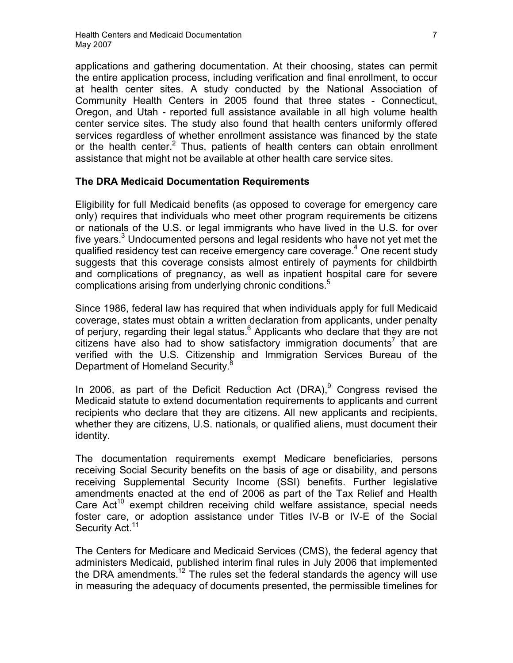applications and gathering documentation. At their choosing, states can permit the entire application process, including verification and final enrollment, to occur at health center sites. A study conducted by the National Association of Community Health Centers in 2005 found that three states - Connecticut, Oregon, and Utah - reported full assistance available in all high volume health center service sites. The study also found that health centers uniformly offered services regardless of whether enrollment assistance was financed by the state or the health center.<sup>2</sup> Thus, patients of health centers can obtain enrollment assistance that might not be available at other health care service sites.

# **The DRA Medicaid Documentation Requirements**

Eligibility for full Medicaid benefits (as opposed to coverage for emergency care only) requires that individuals who meet other program requirements be citizens or nationals of the U.S. or legal immigrants who have lived in the U.S. for over five years. $3$  Undocumented persons and legal residents who have not yet met the qualified residency test can receive emergency care coverage. <sup>4</sup> One recent study suggests that this coverage consists almost entirely of payments for childbirth and complications of pregnancy, as well as inpatient hospital care for severe complications arising from underlying chronic conditions.<sup>5</sup>

Since 1986, federal law has required that when individuals apply for full Medicaid coverage, states must obtain a written declaration from applicants, under penalty of perjury, regarding their legal status.<sup>6</sup> Applicants who declare that they are not citizens have also had to show satisfactory immigration documents<sup>7</sup> that are verified with the U.S. Citizenship and Immigration Services Bureau of the Department of Homeland Security.<sup>8</sup>

In 2006, as part of the Deficit Reduction Act (DRA), $9$  Congress revised the Medicaid statute to extend documentation requirements to applicants and current recipients who declare that they are citizens. All new applicants and recipients, whether they are citizens, U.S. nationals, or qualified aliens, must document their identity.

The documentation requirements exempt Medicare beneficiaries, persons receiving Social Security benefits on the basis of age or disability, and persons receiving Supplemental Security Income (SSI) benefits. Further legislative amendments enacted at the end of 2006 as part of the Tax Relief and Health Care  $Act^{10}$  exempt children receiving child welfare assistance, special needs foster care, or adoption assistance under Titles IV-B or IV-E of the Social Security Act.<sup>11</sup>

The Centers for Medicare and Medicaid Services (CMS), the federal agency that administers Medicaid, published interim final rules in July 2006 that implemented the DRA amendments.<sup>12</sup> The rules set the federal standards the agency will use in measuring the adequacy of documents presented, the permissible timelines for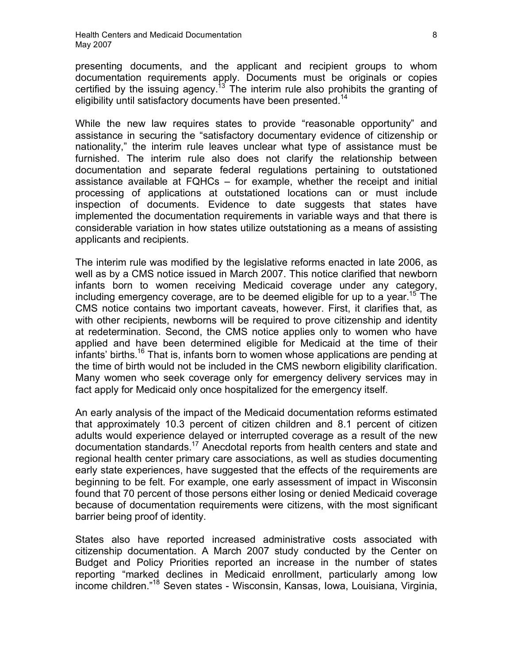presenting documents, and the applicant and recipient groups to whom documentation requirements apply. Documents must be originals or copies certified by the issuing agency.<sup>13</sup> The interim rule also prohibits the granting of eligibility until satisfactory documents have been presented.<sup>14</sup>

While the new law requires states to provide "reasonable opportunity" and assistance in securing the "satisfactory documentary evidence of citizenship or nationality," the interim rule leaves unclear what type of assistance must be furnished. The interim rule also does not clarify the relationship between documentation and separate federal regulations pertaining to outstationed assistance available at FQHCs – for example, whether the receipt and initial processing of applications at outstationed locations can or must include inspection of documents. Evidence to date suggests that states have implemented the documentation requirements in variable ways and that there is considerable variation in how states utilize outstationing as a means of assisting applicants and recipients.

The interim rule was modified by the legislative reforms enacted in late 2006, as well as by a CMS notice issued in March 2007. This notice clarified that newborn infants born to women receiving Medicaid coverage under any category, including emergency coverage, are to be deemed eligible for up to a year.<sup>15</sup> The CMS notice contains two important caveats, however. First, it clarifies that, as with other recipients, newborns will be required to prove citizenship and identity at redetermination. Second, the CMS notice applies only to women who have applied and have been determined eligible for Medicaid at the time of their infants' births.<sup>16</sup> That is, infants born to women whose applications are pending at the time of birth would not be included in the CMS newborn eligibility clarification. Many women who seek coverage only for emergency delivery services may in fact apply for Medicaid only once hospitalized for the emergency itself.

An early analysis of the impact of the Medicaid documentation reforms estimated that approximately 10.3 percent of citizen children and 8.1 percent of citizen adults would experience delayed or interrupted coverage as a result of the new documentation standards.17 Anecdotal reports from health centers and state and regional health center primary care associations, as well as studies documenting early state experiences, have suggested that the effects of the requirements are beginning to be felt. For example, one early assessment of impact in Wisconsin found that 70 percent of those persons either losing or denied Medicaid coverage because of documentation requirements were citizens, with the most significant barrier being proof of identity.

States also have reported increased administrative costs associated with citizenship documentation. A March 2007 study conducted by the Center on Budget and Policy Priorities reported an increase in the number of states reporting "marked declines in Medicaid enrollment, particularly among low income children." <sup>18</sup> Seven states - Wisconsin, Kansas, Iowa, Louisiana, Virginia,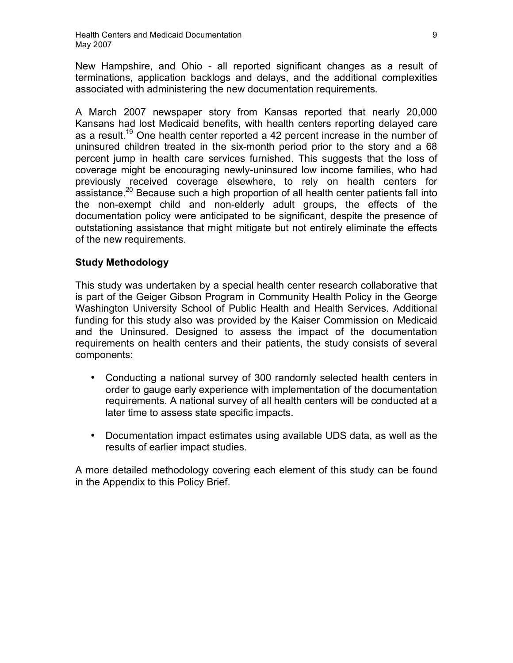New Hampshire, and Ohio - all reported significant changes as a result of terminations, application backlogs and delays, and the additional complexities associated with administering the new documentation requirements.

A March 2007 newspaper story from Kansas reported that nearly 20,000 Kansans had lost Medicaid benefits, with health centers reporting delayed care as a result.<sup>19</sup> One health center reported a 42 percent increase in the number of uninsured children treated in the six-month period prior to the story and a 68 percent jump in health care services furnished. This suggests that the loss of coverage might be encouraging newly-uninsured low income families, who had previously received coverage elsewhere, to rely on health centers for assistance.<sup>20</sup> Because such a high proportion of all health center patients fall into the non-exempt child and non-elderly adult groups, the effects of the documentation policy were anticipated to be significant, despite the presence of outstationing assistance that might mitigate but not entirely eliminate the effects of the new requirements.

# **Study Methodology**

This study was undertaken by a special health center research collaborative that is part of the Geiger Gibson Program in Community Health Policy in the George Washington University School of Public Health and Health Services. Additional funding for this study also was provided by the Kaiser Commission on Medicaid and the Uninsured. Designed to assess the impact of the documentation requirements on health centers and their patients, the study consists of several components:

- Conducting a national survey of 300 randomly selected health centers in order to gauge early experience with implementation of the documentation requirements. A national survey of all health centers will be conducted at a later time to assess state specific impacts.
- Documentation impact estimates using available UDS data, as well as the results of earlier impact studies.

A more detailed methodology covering each element of this study can be found in the Appendix to this Policy Brief.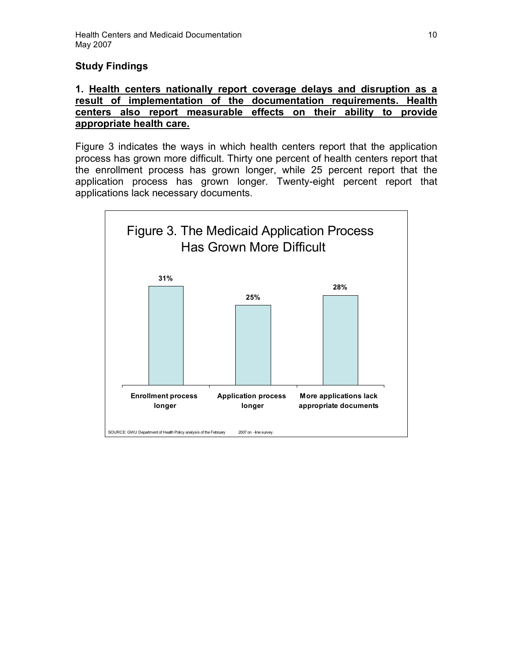# **Study Findings**

# **1. Health centers nationally report coverage delays and disruption as a result of implementation of the documentation requirements. Health centers also report measurable effects on their ability to provide appropriate health care.**

Figure 3 indicates the ways in which health centers report that the application process has grown more difficult. Thirty one percent of health centers report that the enrollment process has grown longer, while 25 percent report that the application process has grown longer. Twenty-eight percent report that applications lack necessary documents.

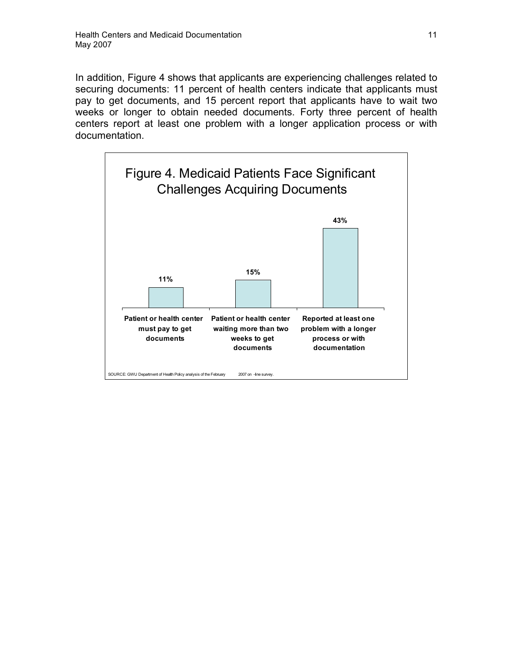In addition, Figure 4 shows that applicants are experiencing challenges related to securing documents: 11 percent of health centers indicate that applicants must pay to get documents, and 15 percent report that applicants have to wait two weeks or longer to obtain needed documents. Forty three percent of health centers report at least one problem with a longer application process or with documentation.

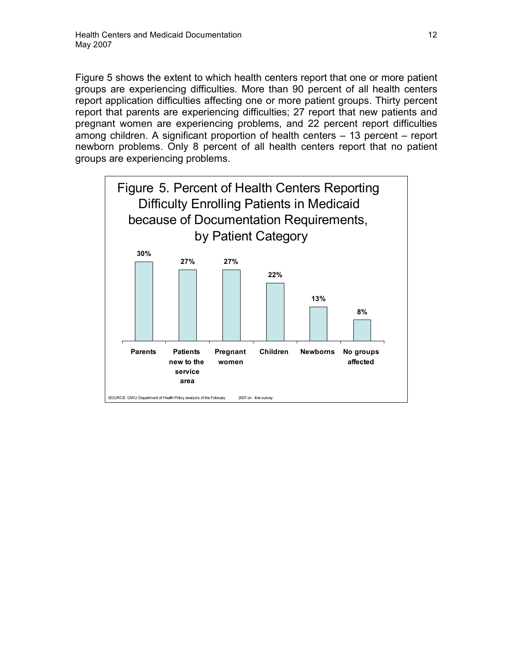Figure 5 shows the extent to which health centers report that one or more patient groups are experiencing difficulties. More than 90 percent of all health centers report application difficulties affecting one or more patient groups. Thirty percent report that parents are experiencing difficulties; 27 report that new patients and pregnant women are experiencing problems, and 22 percent report difficulties among children. A significant proportion of health centers – 13 percent – report newborn problems. Only 8 percent of all health centers report that no patient groups are experiencing problems.

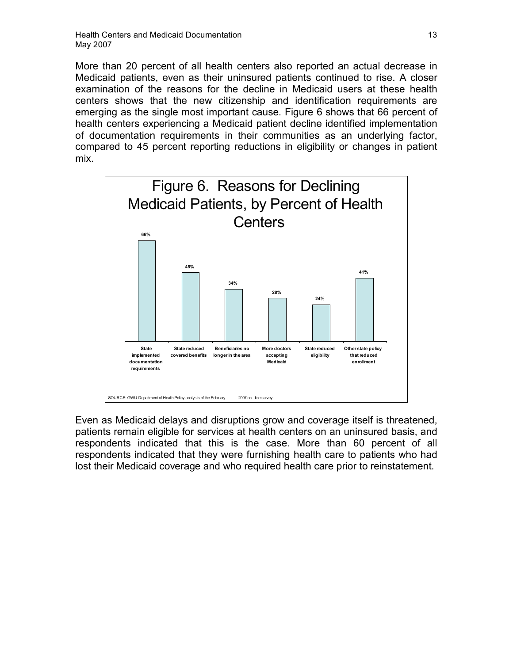More than 20 percent of all health centers also reported an actual decrease in Medicaid patients, even as their uninsured patients continued to rise. A closer examination of the reasons for the decline in Medicaid users at these health centers shows that the new citizenship and identification requirements are emerging as the single most important cause. Figure 6 shows that 66 percent of health centers experiencing a Medicaid patient decline identified implementation of documentation requirements in their communities as an underlying factor, compared to 45 percent reporting reductions in eligibility or changes in patient mix.



Even as Medicaid delays and disruptions grow and coverage itself is threatened, patients remain eligible for services at health centers on an uninsured basis, and respondents indicated that this is the case. More than 60 percent of all respondents indicated that they were furnishing health care to patients who had lost their Medicaid coverage and who required health care prior to reinstatement.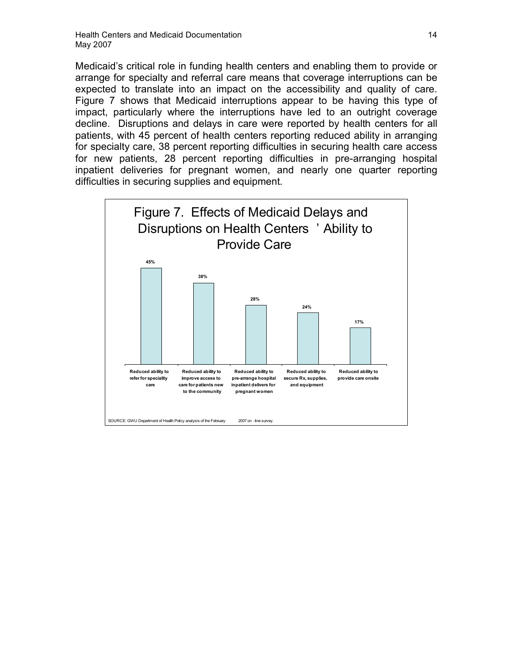Medicaid's critical role in funding health centers and enabling them to provide or arrange for specialty and referral care means that coverage interruptions can be expected to translate into an impact on the accessibility and quality of care. Figure 7 shows that Medicaid interruptions appear to be having this type of impact, particularly where the interruptions have led to an outright coverage decline. Disruptions and delays in care were reported by health centers for all patients, with 45 percent of health centers reporting reduced ability in arranging for specialty care, 38 percent reporting difficulties in securing health care access for new patients, 28 percent reporting difficulties in pre-arranging hospital inpatient deliveries for pregnant women, and nearly one quarter reporting difficulties in securing supplies and equipment.

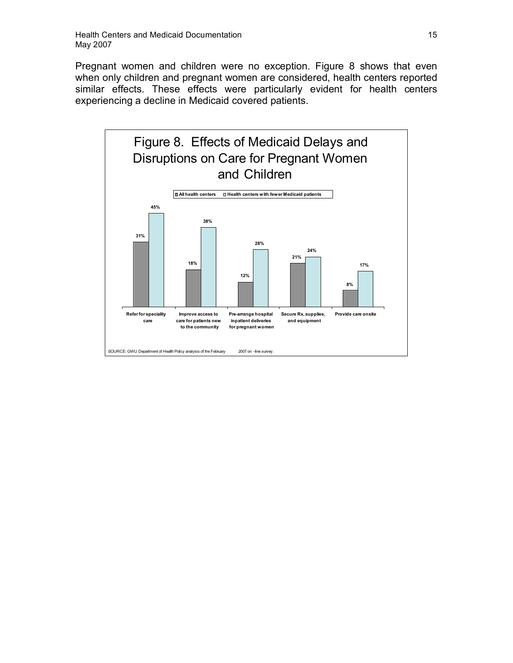Pregnant women and children were no exception. Figure 8 shows that even when only children and pregnant women are considered, health centers reported similar effects. These effects were particularly evident for health centers experiencing a decline in Medicaid covered patients.

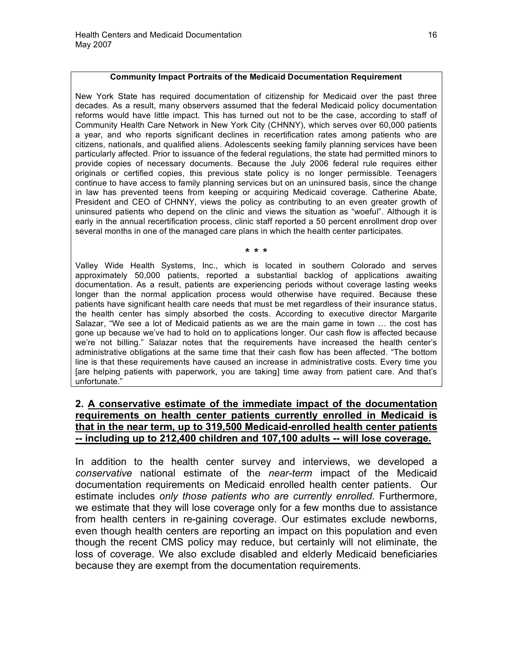#### **Community Impact Portraits of the Medicaid Documentation Requirement**

New York State has required documentation of citizenship for Medicaid over the past three decades. As a result, many observers assumed that the federal Medicaid policy documentation reforms would have little impact. This has turned out not to be the case, according to staff of Community Health Care Network in New York City (CHNNY), which serves over 60,000 patients a year, and who reports significant declines in recertification rates among patients who are citizens, nationals, and qualified aliens. Adolescents seeking family planning services have been particularly affected. Prior to issuance of the federal regulations, the state had permitted minors to provide copies of necessary documents. Because the July 2006 federal rule requires either originals or certified copies, this previous state policy is no longer permissible. Teenagers continue to have access to family planning services but on an uninsured basis, since the change in law has prevented teens from keeping or acquiring Medicaid coverage. Catherine Abate, President and CEO of CHNNY, views the policy as contributing to an even greater growth of uninsured patients who depend on the clinic and views the situation as "woeful". Although it is early in the annual recertification process, clinic staff reported a 50 percent enrollment drop over several months in one of the managed care plans in which the health center participates.

#### \* \* \*

Valley Wide Health Systems, Inc., which is located in southern Colorado and serves approximately 50,000 patients, reported a substantial backlog of applications awaiting documentation. As a result, patients are experiencing periods without coverage lasting weeks longer than the normal application process would otherwise have required. Because these patients have significant health care needs that must be met regardless of their insurance status, the health center has simply absorbed the costs. According to executive director Margarite Salazar, "We see a lot of Medicaid patients as we are the main game in town … the cost has gone up because we've had to hold on to applications longer. Our cash flow is affected because we're not billing." Salazar notes that the requirements have increased the health center's administrative obligations at the same time that their cash flow has been affected. "The bottom line is that these requirements have caused an increase in administrative costs. Every time you [are helping patients with paperwork, you are taking] time away from patient care. And that's unfortunate."

# **2. A conservative estimate of the immediate impact of the documentation requirements on health center patients currently enrolled in Medicaid is that in the near term, up to 319,500 Medicaid-enrolled health center patients -- including up to 212,400 children and 107,100 adults -- will lose coverage.**

In addition to the health center survey and interviews, we developed a *conservative* national estimate of the *near-term* impact of the Medicaid documentation requirements on Medicaid enrolled health center patients. Our estimate includes *only those patients who are currently enrolled.* Furthermore, we estimate that they will lose coverage only for a few months due to assistance from health centers in re-gaining coverage. Our estimates exclude newborns, even though health centers are reporting an impact on this population and even though the recent CMS policy may reduce, but certainly will not eliminate, the loss of coverage. We also exclude disabled and elderly Medicaid beneficiaries because they are exempt from the documentation requirements.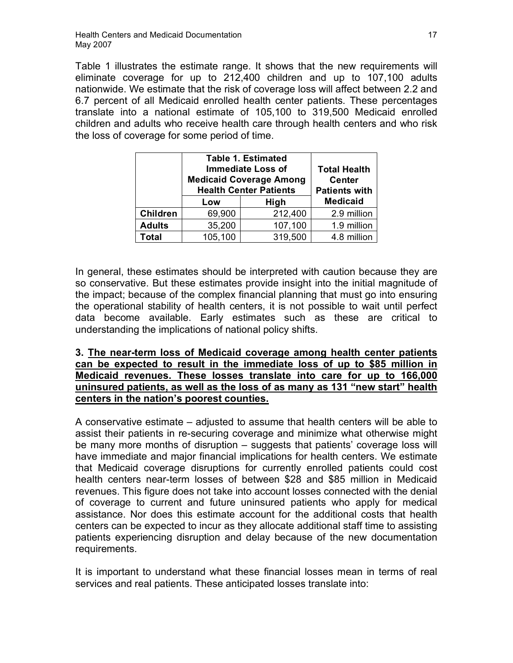Table 1 illustrates the estimate range. It shows that the new requirements will eliminate coverage for up to 212,400 children and up to 107,100 adults nationwide. We estimate that the risk of coverage loss will affect between 2.2 and 6.7 percent of all Medicaid enrolled health center patients. These percentages translate into a national estimate of 105,100 to 319,500 Medicaid enrolled children and adults who receive health care through health centers and who risk the loss of coverage for some period of time.

|                 | <b>Table 1. Estimated</b><br><b>Immediate Loss of</b><br><b>Medicaid Coverage Among</b><br><b>Health Center Patients</b> |         | <b>Total Health</b><br><b>Center</b><br><b>Patients with</b> |
|-----------------|--------------------------------------------------------------------------------------------------------------------------|---------|--------------------------------------------------------------|
|                 | Low                                                                                                                      | High    | <b>Medicaid</b>                                              |
| <b>Children</b> | 69,900                                                                                                                   | 212,400 | 2.9 million                                                  |
| <b>Adults</b>   | 35,200                                                                                                                   | 107,100 | 1.9 million                                                  |
| Total           | 105,100                                                                                                                  | 319,500 | 4.8 million                                                  |

In general, these estimates should be interpreted with caution because they are so conservative. But these estimates provide insight into the initial magnitude of the impact; because of the complex financial planning that must go into ensuring the operational stability of health centers, it is not possible to wait until perfect data become available. Early estimates such as these are critical to understanding the implications of national policy shifts.

# **3. The near-term loss of Medicaid coverage among health center patients can be expected to result in the immediate loss of up to \$85 million in Medicaid revenues. These losses translate into care for up to 166,000 uninsured patients, as well as the loss of as many as 131 "new start" health centers in the nation's poorest counties.**

A conservative estimate – adjusted to assume that health centers will be able to assist their patients in re-securing coverage and minimize what otherwise might be many more months of disruption – suggests that patients' coverage loss will have immediate and major financial implications for health centers. We estimate that Medicaid coverage disruptions for currently enrolled patients could cost health centers near-term losses of between \$28 and \$85 million in Medicaid revenues. This figure does not take into account losses connected with the denial of coverage to current and future uninsured patients who apply for medical assistance. Nor does this estimate account for the additional costs that health centers can be expected to incur as they allocate additional staff time to assisting patients experiencing disruption and delay because of the new documentation requirements.

It is important to understand what these financial losses mean in terms of real services and real patients. These anticipated losses translate into: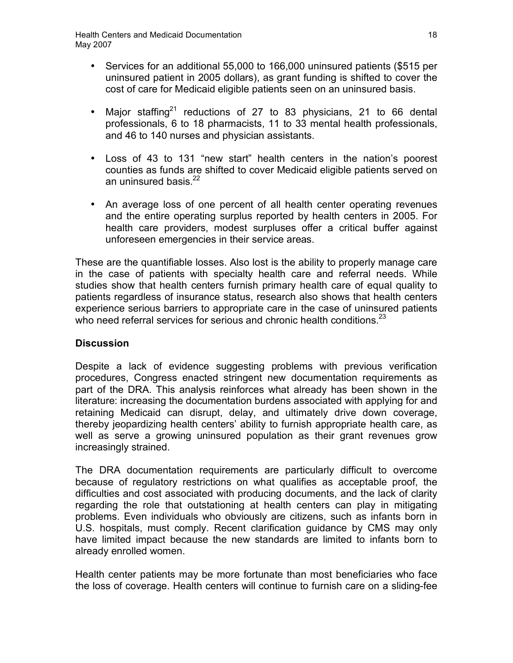- Services for an additional 55,000 to 166,000 uninsured patients (\$515 per uninsured patient in 2005 dollars), as grant funding is shifted to cover the cost of care for Medicaid eligible patients seen on an uninsured basis.
- Major staffing<sup>21</sup> reductions of 27 to 83 physicians, 21 to 66 dental professionals, 6 to 18 pharmacists, 11 to 33 mental health professionals, and 46 to 140 nurses and physician assistants.
- Loss of 43 to 131 "new start" health centers in the nation's poorest counties as funds are shifted to cover Medicaid eligible patients served on an uninsured basis. $22$
- An average loss of one percent of all health center operating revenues and the entire operating surplus reported by health centers in 2005. For health care providers, modest surpluses offer a critical buffer against unforeseen emergencies in their service areas.

These are the quantifiable losses. Also lost is the ability to properly manage care in the case of patients with specialty health care and referral needs. While studies show that health centers furnish primary health care of equal quality to patients regardless of insurance status, research also shows that health centers experience serious barriers to appropriate care in the case of uninsured patients who need referral services for serious and chronic health conditions. $^{23}$ 

# **Discussion**

Despite a lack of evidence suggesting problems with previous verification procedures, Congress enacted stringent new documentation requirements as part of the DRA. This analysis reinforces what already has been shown in the literature: increasing the documentation burdens associated with applying for and retaining Medicaid can disrupt, delay, and ultimately drive down coverage, thereby jeopardizing health centers' ability to furnish appropriate health care, as well as serve a growing uninsured population as their grant revenues grow increasingly strained.

The DRA documentation requirements are particularly difficult to overcome because of regulatory restrictions on what qualifies as acceptable proof, the difficulties and cost associated with producing documents, and the lack of clarity regarding the role that outstationing at health centers can play in mitigating problems. Even individuals who obviously are citizens, such as infants born in U.S. hospitals, must comply. Recent clarification guidance by CMS may only have limited impact because the new standards are limited to infants born to already enrolled women.

Health center patients may be more fortunate than most beneficiaries who face the loss of coverage. Health centers will continue to furnish care on a sliding-fee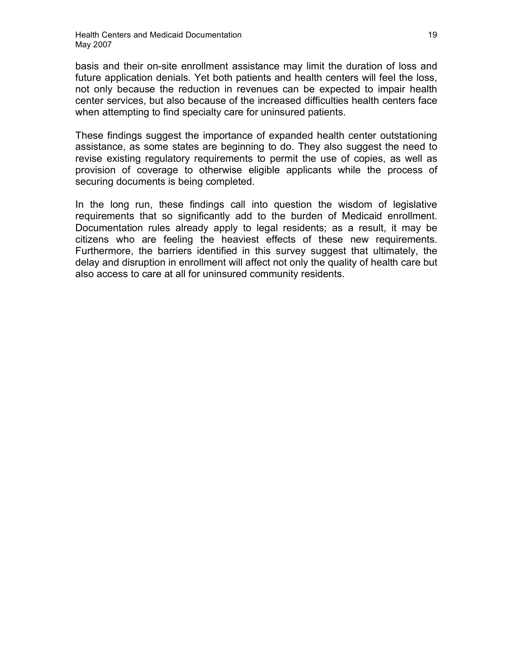basis and their on-site enrollment assistance may limit the duration of loss and future application denials. Yet both patients and health centers will feel the loss, not only because the reduction in revenues can be expected to impair health center services, but also because of the increased difficulties health centers face when attempting to find specialty care for uninsured patients.

These findings suggest the importance of expanded health center outstationing assistance, as some states are beginning to do. They also suggest the need to revise existing regulatory requirements to permit the use of copies, as well as provision of coverage to otherwise eligible applicants while the process of securing documents is being completed.

In the long run, these findings call into question the wisdom of legislative requirements that so significantly add to the burden of Medicaid enrollment. Documentation rules already apply to legal residents; as a result, it may be citizens who are feeling the heaviest effects of these new requirements. Furthermore, the barriers identified in this survey suggest that ultimately, the delay and disruption in enrollment will affect not only the quality of health care but also access to care at all for uninsured community residents.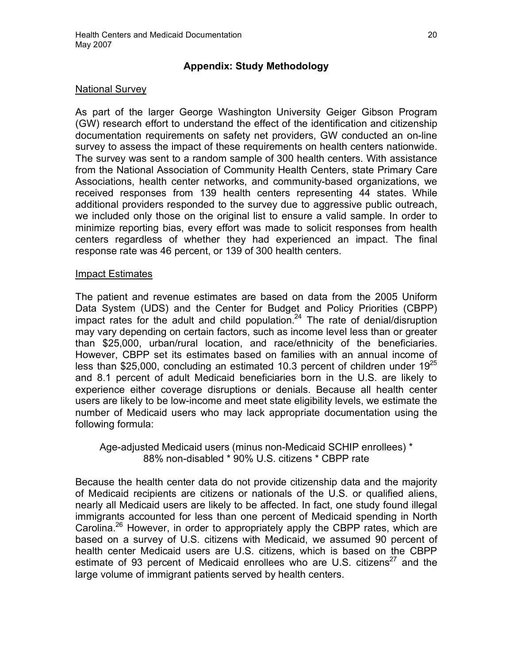# **Appendix: Study Methodology**

## National Survey

As part of the larger George Washington University Geiger Gibson Program (GW) research effort to understand the effect of the identification and citizenship documentation requirements on safety net providers, GW conducted an on-line survey to assess the impact of these requirements on health centers nationwide. The survey was sent to a random sample of 300 health centers. With assistance from the National Association of Community Health Centers, state Primary Care Associations, health center networks, and community-based organizations, we received responses from 139 health centers representing 44 states. While additional providers responded to the survey due to aggressive public outreach, we included only those on the original list to ensure a valid sample. In order to minimize reporting bias, every effort was made to solicit responses from health centers regardless of whether they had experienced an impact. The final response rate was 46 percent, or 139 of 300 health centers.

### Impact Estimates

The patient and revenue estimates are based on data from the 2005 Uniform Data System (UDS) and the Center for Budget and Policy Priorities (CBPP) impact rates for the adult and child population.<sup>24</sup> The rate of denial/disruption may vary depending on certain factors, such as income level less than or greater than \$25,000, urban/rural location, and race/ethnicity of the beneficiaries. However, CBPP set its estimates based on families with an annual income of less than \$25,000, concluding an estimated 10.3 percent of children under  $19^{25}$ and 8.1 percent of adult Medicaid beneficiaries born in the U.S. are likely to experience either coverage disruptions or denials. Because all health center users are likely to be low-income and meet state eligibility levels, we estimate the number of Medicaid users who may lack appropriate documentation using the following formula:

Age-adjusted Medicaid users (minus non-Medicaid SCHIP enrollees) \* 88% non-disabled \* 90% U.S. citizens \* CBPP rate

Because the health center data do not provide citizenship data and the majority of Medicaid recipients are citizens or nationals of the U.S. or qualified aliens, nearly all Medicaid users are likely to be affected. In fact, one study found illegal immigrants accounted for less than one percent of Medicaid spending in North Carolina.<sup>26</sup> However, in order to appropriately apply the CBPP rates, which are based on a survey of U.S. citizens with Medicaid, we assumed 90 percent of health center Medicaid users are U.S. citizens, which is based on the CBPP estimate of 93 percent of Medicaid enrollees who are U.S. citizens<sup>27</sup> and the large volume of immigrant patients served by health centers.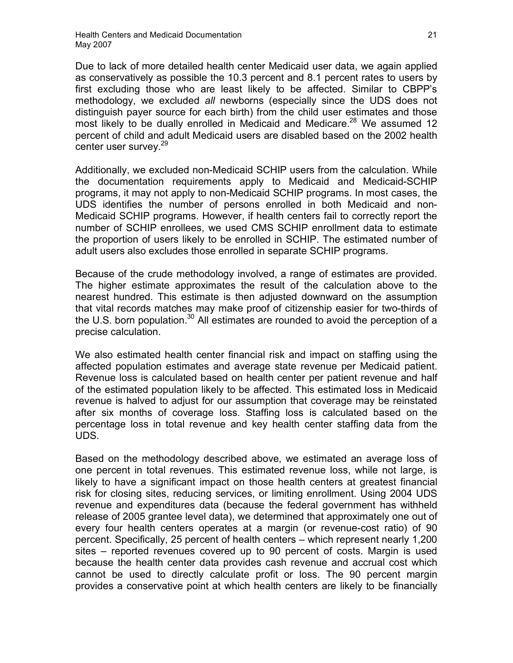Due to lack of more detailed health center Medicaid user data, we again applied as conservatively as possible the 10.3 percent and 8.1 percent rates to users by first excluding those who are least likely to be affected. Similar to CBPP's methodology, we excluded *all* newborns (especially since the UDS does not distinguish payer source for each birth) from the child user estimates and those most likely to be dually enrolled in Medicaid and Medicare.<sup>28</sup> We assumed 12 percent of child and adult Medicaid users are disabled based on the 2002 health center user survey.<sup>29</sup>

Additionally, we excluded non-Medicaid SCHIP users from the calculation. While the documentation requirements apply to Medicaid and Medicaid-SCHIP programs, it may not apply to non-Medicaid SCHIP programs. In most cases, the UDS identifies the number of persons enrolled in both Medicaid and non-Medicaid SCHIP programs. However, if health centers fail to correctly report the number of SCHIP enrollees, we used CMS SCHIP enrollment data to estimate the proportion of users likely to be enrolled in SCHIP. The estimated number of adult users also excludes those enrolled in separate SCHIP programs.

Because of the crude methodology involved, a range of estimates are provided. The higher estimate approximates the result of the calculation above to the nearest hundred. This estimate is then adjusted downward on the assumption that vital records matches may make proof of citizenship easier for two-thirds of the U.S. born population.<sup>30</sup> All estimates are rounded to avoid the perception of a precise calculation.

We also estimated health center financial risk and impact on staffing using the affected population estimates and average state revenue per Medicaid patient. Revenue loss is calculated based on health center per patient revenue and half of the estimated population likely to be affected. This estimated loss in Medicaid revenue is halved to adjust for our assumption that coverage may be reinstated after six months of coverage loss. Staffing loss is calculated based on the percentage loss in total revenue and key health center staffing data from the UDS.

Based on the methodology described above, we estimated an average loss of one percent in total revenues. This estimated revenue loss, while not large, is likely to have a significant impact on those health centers at greatest financial risk for closing sites, reducing services, or limiting enrollment. Using 2004 UDS revenue and expenditures data (because the federal government has withheld release of 2005 grantee level data), we determined that approximately one out of every four health centers operates at a margin (or revenue-cost ratio) of 90 percent. Specifically, 25 percent of health centers – which represent nearly 1,200 sites – reported revenues covered up to 90 percent of costs. Margin is used because the health center data provides cash revenue and accrual cost which cannot be used to directly calculate profit or loss. The 90 percent margin provides a conservative point at which health centers are likely to be financially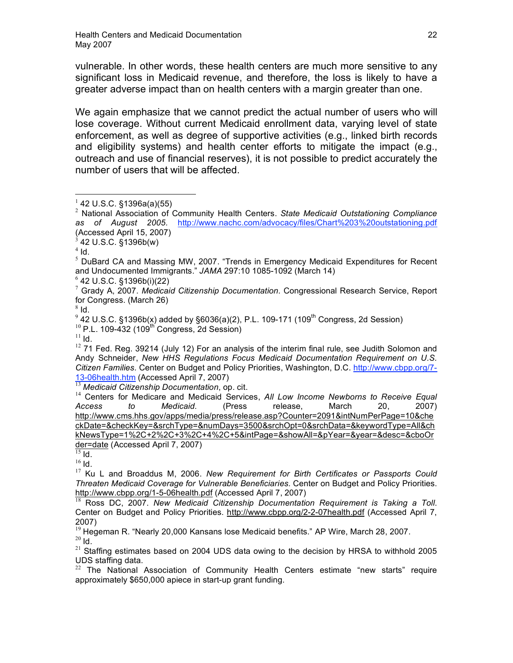vulnerable. In other words, these health centers are much more sensitive to any significant loss in Medicaid revenue, and therefore, the loss is likely to have a greater adverse impact than on health centers with a margin greater than one.

We again emphasize that we cannot predict the actual number of users who will lose coverage. Without current Medicaid enrollment data, varying level of state enforcement, as well as degree of supportive activities (e.g., linked birth records and eligibility systems) and health center efforts to mitigate the impact (e.g., outreach and use of financial reserves), it is not possible to predict accurately the number of users that will be affected.

<sup>4</sup> Id.<br><sup>5</sup> DuBard CA and Massing MW, 2007. "Trends in Emergency Medicaid Expenditures for Recent and Undocumented Immigrants." *JAMA* 297:10 1085-1092 (March 14)

<sup>6</sup> 42 U.S.C. §1396b(i)(22)<br><sup>7</sup> Grady A, 2007. *Medicaid Citizenship Documentation*. Congressional Research Service, Report for Congress. (March 26)

 $^8$  Id.<br> $^9$  42 U.S.C. §1396b(x) added by §6036(a)(2), P.L. 109-171 (109<sup>th</sup> Congress, 2d Session)<br><sup>10</sup> P.L. 109-432 (109<sup>th</sup> Congress, 2d Session)<br><sup>11</sup> Id.

 $12$  71 Fed. Reg. 39214 (July 12) For an analysis of the interim final rule, see Judith Solomon and Andy Schneider, *New HHS Regulations Focus Medicaid Documentation Requirement on U.S. Citizen Families.* Center on Budget and Policy Priorities, Washington, D.C. http://www.cbpp.org/7- 13-06health.htm (Accessed April 7, 2007) <sup>13</sup> *Medicaid Citizenship Documentation*, op. cit.

<sup>14</sup> Centers for Medicare and Medicaid Services, *All Low Income Newborns to Receive Equal Access to Medicaid.* (Press release, March 20, 2007) http://www.cms.hhs.gov/apps/media/press/release.asp?Counter=2091&intNumPerPage=10&che ckDate=&checkKey=&srchType=&numDays=3500&srchOpt=0&srchData=&keywordType=All&ch kNewsType=1%2C+2%2C+3%2C+4%2C+5&intPage=&showAll=&pYear=&year=&desc=&cboOr der=date (Accessed April 7, 2007)

<sup>15</sup> Id. <sup>16</sup> Id. <sup>17</sup> Ku <sup>L</sup> and Broaddus M, 2006. *New Requirement for Birth Certificates or Passports Could Threaten Medicaid Coverage for Vulnerable Beneficiaries.* Center on Budget and Policy Priorities. http://www.cbpp.org/1-5-06health.pdf (Accessed April 7, 2007)

<sup>18</sup> Ross DC, 2007. *New Medicaid Citizenship Documentation Requirement is Taking a Toll*. Center on Budget and Policy Priorities. http://www.cbpp.org/2-2-07health.pdf (Accessed April 7,

2007)<br><sup>19</sup> Hegeman R. "Nearly 20,000 Kansans lose Medicaid benefits." AP Wire, March 28, 2007.  $\frac{^{20}}{^{21}}$  Id.  $\frac{1}{10}$  estimates based on 2004 UDS data owing to the decision by HRSA to withhold 2005.

UDS staffing data.<br><sup>22</sup> The National Association of Community Health Centers estimate "new starts" require approximately \$650,000 apiece in start-up grant funding.

<sup>1</sup> <sup>42</sup> U.S.C. §1396a(a)(55) <sup>2</sup> National Association of Community Health Centers. *State Medicaid Outstationing Compliance as of August 2005.* http://www.nachc.com/advocacy/files/Chart%203%20outstationing.pdf (Accessed April 15, 2007)<br><sup>3</sup> 42 U.S.C. §1396b(w)